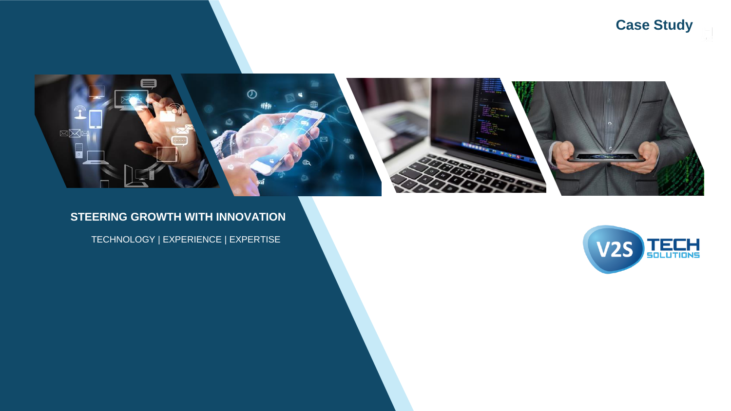**Case Study**



#### **STEERING GROWTH WITH INNOVATION**

TECHNOLOGY | EXPERIENCE | EXPERTISE

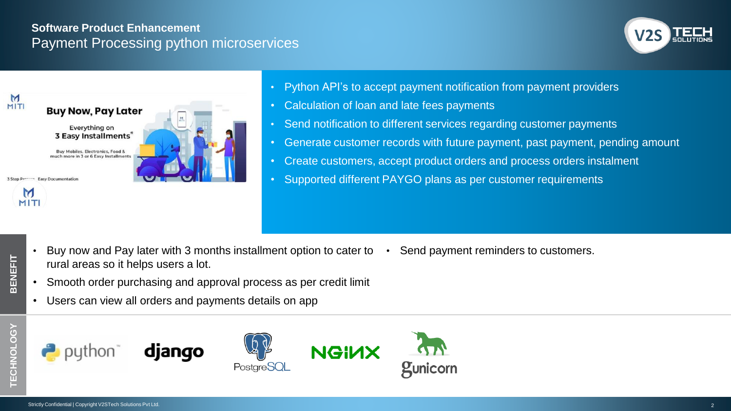#### **Software Product Enhancement** Payment Processing python microservices





- Python API's to accept payment notification from payment providers
- Calculation of loan and late fees payments
- Send notification to different services regarding customer payments
- Generate customer records with future payment, past payment, pending amount
- Create customers, accept product orders and process orders instalment
- Supported different PAYGO plans as per customer requirements

- Buy now and Pay later with 3 months installment option to cater to Send payment reminders to customers. rural areas so it helps users a lot.
- 
- Smooth order purchasing and approval process as per credit limit
- Users can view all orders and payments details on app

**BENEFIT**







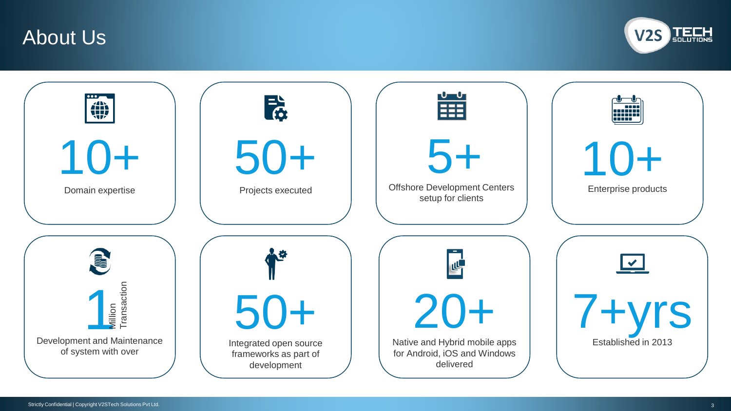### About Us



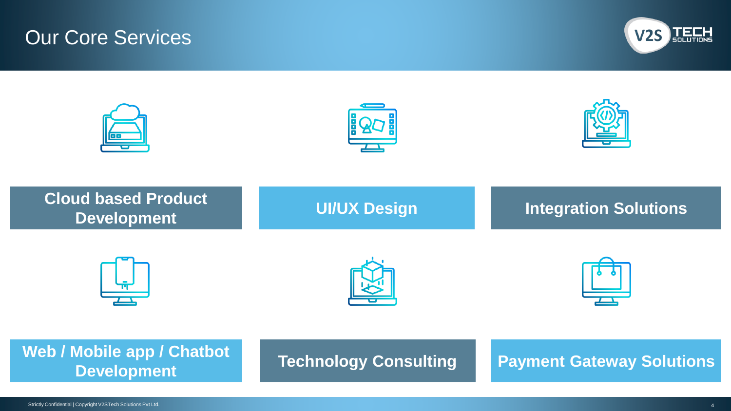# Our Core Services



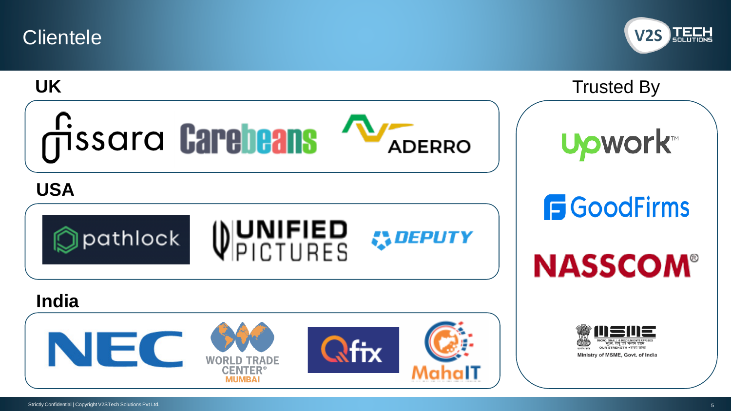**Clientele** 



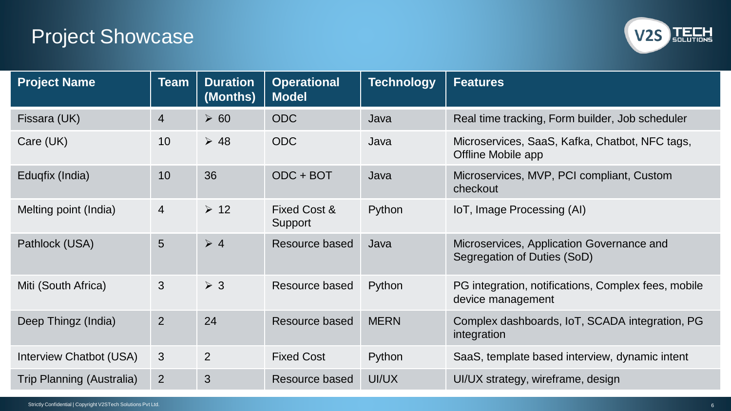# Project Showcase



| <b>Project Name</b>       | <b>Team</b>    | <b>Duration</b><br>(Months) | <b>Operational</b><br><b>Model</b> | <b>Technology</b> | <b>Features</b>                                                          |
|---------------------------|----------------|-----------------------------|------------------------------------|-------------------|--------------------------------------------------------------------------|
| Fissara (UK)              | $\overline{4}$ | $\geq 60$                   | <b>ODC</b>                         | Java              | Real time tracking, Form builder, Job scheduler                          |
| Care (UK)                 | 10             | $\geq 48$                   | <b>ODC</b>                         | Java              | Microservices, SaaS, Kafka, Chatbot, NFC tags,<br>Offline Mobile app     |
| Eduqfix (India)           | 10             | 36                          | $ODC + BOT$                        | Java              | Microservices, MVP, PCI compliant, Custom<br>checkout                    |
| Melting point (India)     | $\overline{4}$ | $\geq 12$                   | Fixed Cost &<br>Support            | Python            | IoT, Image Processing (AI)                                               |
| Pathlock (USA)            | 5              | $\geqslant 4$               | Resource based                     | Java              | Microservices, Application Governance and<br>Segregation of Duties (SoD) |
| Miti (South Africa)       | 3              | $\geq 3$                    | Resource based                     | Python            | PG integration, notifications, Complex fees, mobile<br>device management |
| Deep Thingz (India)       | $\overline{2}$ | 24                          | Resource based                     | <b>MERN</b>       | Complex dashboards, IoT, SCADA integration, PG<br>integration            |
| Interview Chatbot (USA)   | 3              | 2                           | <b>Fixed Cost</b>                  | Python            | SaaS, template based interview, dynamic intent                           |
| Trip Planning (Australia) | 2              | 3                           | Resource based                     | UI/UX             | UI/UX strategy, wireframe, design                                        |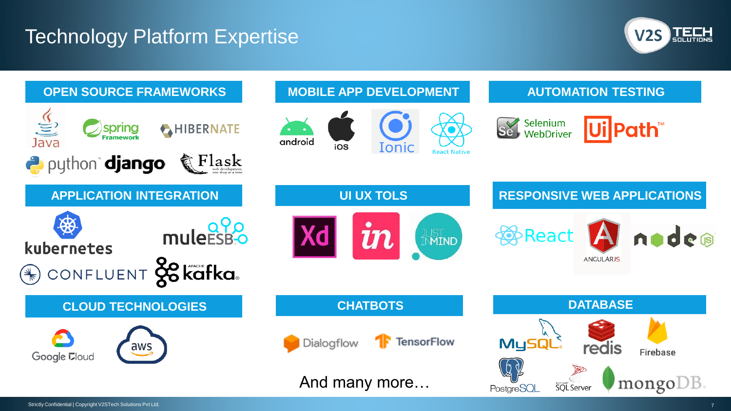### Technology Platform Expertise



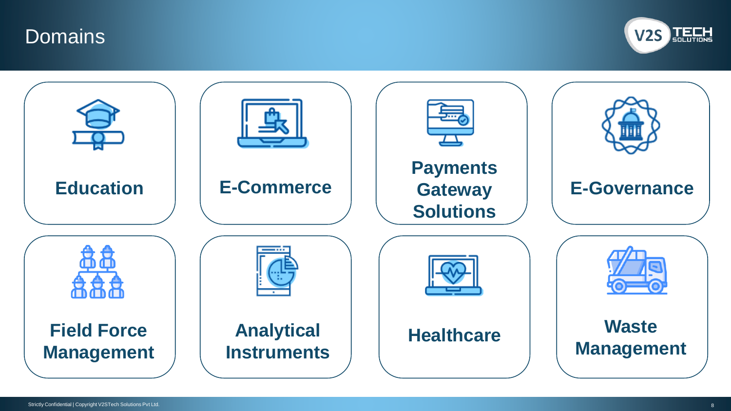



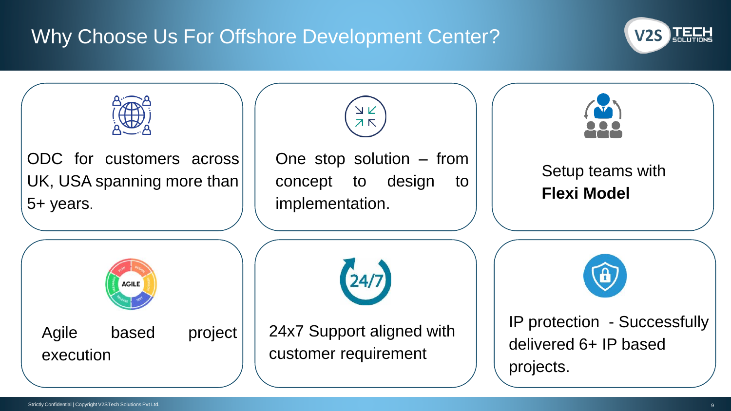# Why Choose Us For Offshore Development Center?



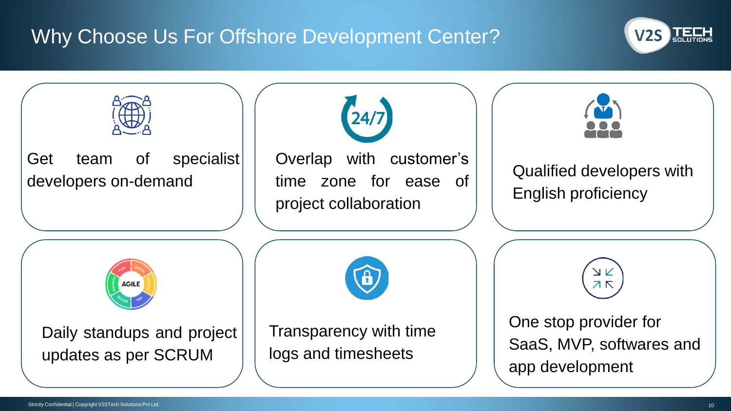# Why Choose Us For Offshore Development Center?



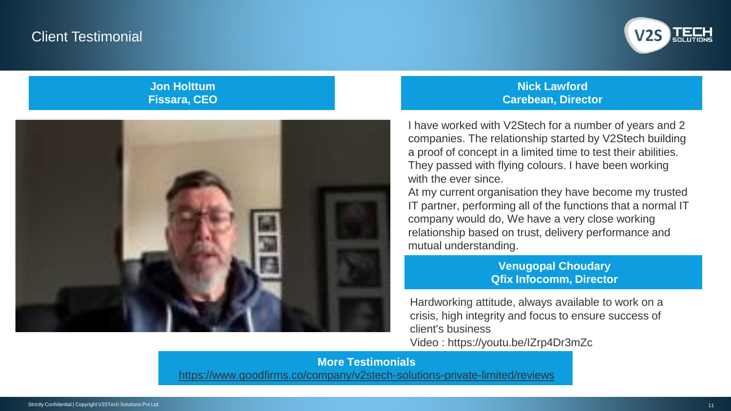### Client Testimonial



#### **Jon Holttum Fissara, CEO**



#### **Nick Lawford Carebean, Director**

I have worked with V2Stech for a number of years and 2 companies. The relationship started by V2Stech building a proof of concept in a limited time to test their abilities. They passed with flying colours. I have been working with the ever since.

At my current organisation they have become my trusted IT partner, performing all of the functions that a normal IT company would do, We have a very close working relationship based on trust, delivery performance and mutual understanding.

#### **Venugopal Choudary Qfix Infocomm, Director**

Hardworking attitude, always available to work on a crisis, high integrity and focus to ensure success of client's business Video : https://youtu.be/IZrp4Dr3mZc

**More Testimonials** <https://www.goodfirms.co/company/v2stech-solutions-private-limited/reviews>